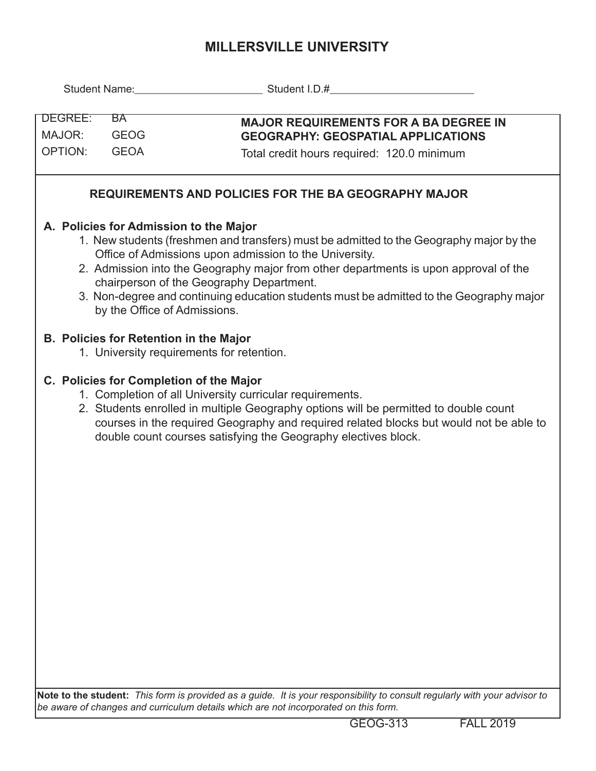## **MILLERSVILLE UNIVERSITY**

|                                                                                                                                                                                                                                                                                                                                                                                                                                                            |                                                                                                                                                                                                                                                                                                                                                         | Student Name: Campbell and Student I.D.# Company Student I.D. All and Student I.D. All and Student I.D. All and Student I.D. All and Student I.D. All and Student I.D. All and Student I.D. All and Student I.D. All and Stude |  |  |  |  |  |  |  |
|------------------------------------------------------------------------------------------------------------------------------------------------------------------------------------------------------------------------------------------------------------------------------------------------------------------------------------------------------------------------------------------------------------------------------------------------------------|---------------------------------------------------------------------------------------------------------------------------------------------------------------------------------------------------------------------------------------------------------------------------------------------------------------------------------------------------------|--------------------------------------------------------------------------------------------------------------------------------------------------------------------------------------------------------------------------------|--|--|--|--|--|--|--|
| DEGREE:<br>BA<br><b>GEOG</b><br>MAJOR:<br><b>OPTION:</b><br><b>GEOA</b>                                                                                                                                                                                                                                                                                                                                                                                    |                                                                                                                                                                                                                                                                                                                                                         | <b>MAJOR REQUIREMENTS FOR A BA DEGREE IN</b><br><b>GEOGRAPHY: GEOSPATIAL APPLICATIONS</b><br>Total credit hours required: 120.0 minimum                                                                                        |  |  |  |  |  |  |  |
|                                                                                                                                                                                                                                                                                                                                                                                                                                                            |                                                                                                                                                                                                                                                                                                                                                         | <b>REQUIREMENTS AND POLICIES FOR THE BA GEOGRAPHY MAJOR</b>                                                                                                                                                                    |  |  |  |  |  |  |  |
| A. Policies for Admission to the Major<br>1. New students (freshmen and transfers) must be admitted to the Geography major by the<br>Office of Admissions upon admission to the University.<br>2. Admission into the Geography major from other departments is upon approval of the<br>chairperson of the Geography Department.<br>3. Non-degree and continuing education students must be admitted to the Geography major<br>by the Office of Admissions. |                                                                                                                                                                                                                                                                                                                                                         |                                                                                                                                                                                                                                |  |  |  |  |  |  |  |
|                                                                                                                                                                                                                                                                                                                                                                                                                                                            | B. Policies for Retention in the Major                                                                                                                                                                                                                                                                                                                  | 1. University requirements for retention.                                                                                                                                                                                      |  |  |  |  |  |  |  |
|                                                                                                                                                                                                                                                                                                                                                                                                                                                            | C. Policies for Completion of the Major<br>1. Completion of all University curricular requirements.<br>2. Students enrolled in multiple Geography options will be permitted to double count<br>courses in the required Geography and required related blocks but would not be able to<br>double count courses satisfying the Geography electives block. |                                                                                                                                                                                                                                |  |  |  |  |  |  |  |
|                                                                                                                                                                                                                                                                                                                                                                                                                                                            |                                                                                                                                                                                                                                                                                                                                                         |                                                                                                                                                                                                                                |  |  |  |  |  |  |  |
|                                                                                                                                                                                                                                                                                                                                                                                                                                                            |                                                                                                                                                                                                                                                                                                                                                         | Note to the student: This form is provided as a quide It is your responsibility to consult requierly with your advisor to                                                                                                      |  |  |  |  |  |  |  |

**Note to the student:** *This form is provided as a guide. It is your responsibility to consult regularly with your advisor to be aware of changes and curriculum details which are not incorporated on this form.*